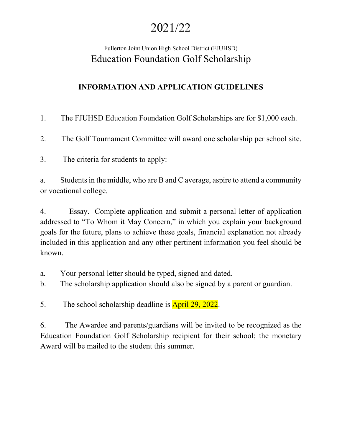# 2021/22

## Fullerton Joint Union High School District (FJUHSD) Education Foundation Golf Scholarship

## **INFORMATION AND APPLICATION GUIDELINES**

1. The FJUHSD Education Foundation Golf Scholarships are for \$1,000 each.

2. The Golf Tournament Committee will award one scholarship per school site.

3. The criteria for students to apply:

a. Students in the middle, who are B and C average, aspire to attend a community or vocational college.

4. Essay. Complete application and submit a personal letter of application addressed to "To Whom it May Concern," in which you explain your background goals for the future, plans to achieve these goals, financial explanation not already included in this application and any other pertinent information you feel should be known.

- a. Your personal letter should be typed, signed and dated.
- b. The scholarship application should also be signed by a parent or guardian.
- 5. The school scholarship deadline is **April 29, 2022.**

6. The Awardee and parents/guardians will be invited to be recognized as the Education Foundation Golf Scholarship recipient for their school; the monetary Award will be mailed to the student this summer.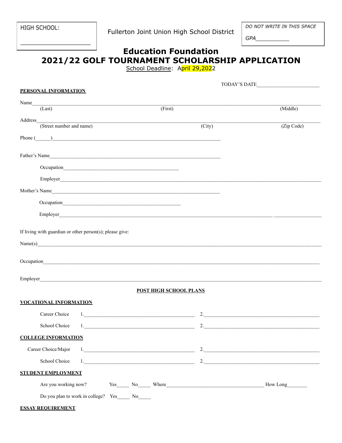HIGH SCHOOL:

Fullerton Joint Union High School District

DO NOT WRITE IN THIS SPACE

GPA

### **Education Foundation** 2021/22 GOLF TOURNAMENT SCHOLARSHIP APPLICATION School Deadline: April 29,2022

|                                                                                                                                                                                                                               | TODAY'S DATE       |  |  |  |  |  |  |
|-------------------------------------------------------------------------------------------------------------------------------------------------------------------------------------------------------------------------------|--------------------|--|--|--|--|--|--|
| <b>PERSONAL INFORMATION</b>                                                                                                                                                                                                   |                    |  |  |  |  |  |  |
| Name                                                                                                                                                                                                                          |                    |  |  |  |  |  |  |
| (First)<br>(Last)                                                                                                                                                                                                             | (Middle)           |  |  |  |  |  |  |
| Address<br><u> 1980 - Johann Barbara, martxa alemaniar arg</u>                                                                                                                                                                |                    |  |  |  |  |  |  |
| (Street number and name)<br>(City)                                                                                                                                                                                            | (Zip Code)         |  |  |  |  |  |  |
| $Phone(\_)$                                                                                                                                                                                                                   |                    |  |  |  |  |  |  |
|                                                                                                                                                                                                                               |                    |  |  |  |  |  |  |
| Father's Name                                                                                                                                                                                                                 |                    |  |  |  |  |  |  |
|                                                                                                                                                                                                                               |                    |  |  |  |  |  |  |
|                                                                                                                                                                                                                               |                    |  |  |  |  |  |  |
|                                                                                                                                                                                                                               |                    |  |  |  |  |  |  |
| Mother's Name                                                                                                                                                                                                                 |                    |  |  |  |  |  |  |
|                                                                                                                                                                                                                               |                    |  |  |  |  |  |  |
|                                                                                                                                                                                                                               |                    |  |  |  |  |  |  |
|                                                                                                                                                                                                                               |                    |  |  |  |  |  |  |
|                                                                                                                                                                                                                               |                    |  |  |  |  |  |  |
| If living with guardian or other person(s); please give:                                                                                                                                                                      |                    |  |  |  |  |  |  |
| Name(s)                                                                                                                                                                                                                       |                    |  |  |  |  |  |  |
|                                                                                                                                                                                                                               |                    |  |  |  |  |  |  |
| Occupation experience and the contract of the contract of the contract of the contract of the contract of the contract of the contract of the contract of the contract of the contract of the contract of the contract of the |                    |  |  |  |  |  |  |
|                                                                                                                                                                                                                               |                    |  |  |  |  |  |  |
| Employer                                                                                                                                                                                                                      |                    |  |  |  |  |  |  |
| <b>POST HIGH SCHOOL PLANS</b>                                                                                                                                                                                                 |                    |  |  |  |  |  |  |
|                                                                                                                                                                                                                               |                    |  |  |  |  |  |  |
| <b>VOCATIONAL INFORMATION</b>                                                                                                                                                                                                 |                    |  |  |  |  |  |  |
| Career Choice                                                                                                                                                                                                                 | $2.$               |  |  |  |  |  |  |
| School Choice<br>1.                                                                                                                                                                                                           | 2.                 |  |  |  |  |  |  |
| <b>COLLEGE INFORMATION</b>                                                                                                                                                                                                    |                    |  |  |  |  |  |  |
|                                                                                                                                                                                                                               |                    |  |  |  |  |  |  |
| Career Choice/Major                                                                                                                                                                                                           | 2.                 |  |  |  |  |  |  |
| School Choice                                                                                                                                                                                                                 | 2. $\qquad \qquad$ |  |  |  |  |  |  |
| <b>STUDENT EMPLOYMENT</b>                                                                                                                                                                                                     |                    |  |  |  |  |  |  |
|                                                                                                                                                                                                                               |                    |  |  |  |  |  |  |
| Are you working now? Yes_______ No_______ Where__________________________________                                                                                                                                             | How Long           |  |  |  |  |  |  |
| Do you plan to work in college? Yes________ No_______                                                                                                                                                                         |                    |  |  |  |  |  |  |

#### **ESSAY REQUIREMENT**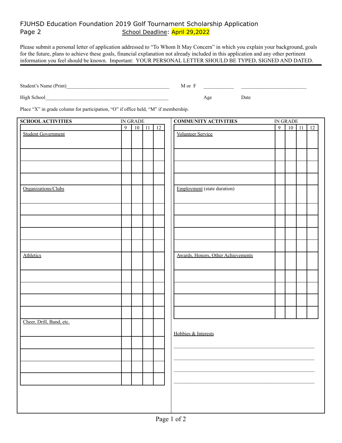#### FJUHSD Education Foundation 2019 Golf Tournament Scholarship Application Page 2 School Deadline: April 29,2022

Please submit a personal letter of application addressed to "To Whom It May Concern" in which you explain your background, goals for the future, plans to achieve these goals, financial explanation not already included in this application and any other pertinent information you feel should be known. Important: YOUR PERSONAL LETTER SHOULD BE TYPED, SIGNED AND DATED.

Student's Name (Print)\_\_\_\_\_\_\_\_\_\_\_\_\_\_\_\_\_\_\_\_\_\_\_\_\_\_\_\_\_\_\_\_\_\_\_\_\_\_\_\_\_ M or F \_\_\_\_\_\_\_\_\_\_\_\_ \_\_\_\_\_\_\_\_\_\_\_\_\_\_\_\_\_\_\_\_\_\_\_\_\_\_

High School and the set of the set of the set of the set of the set of the set of the set of the set of the set of the set of the set of the set of the set of the set of the set of the set of the set of the set of the set

Place "X" in grade column for participation, "O" if office held, "M" if membership.

| <b>SCHOOL ACTIVITIES</b>  | IN GRADE       |         |  | <b>COMMUNITY ACTIVITIES</b> | IN GRADE                           |                |         |  |    |
|---------------------------|----------------|---------|--|-----------------------------|------------------------------------|----------------|---------|--|----|
|                           | $\overline{9}$ | $10$ 11 |  | 12                          |                                    | $\overline{9}$ | $10$ 11 |  | 12 |
| <b>Student Government</b> |                |         |  |                             | <b>Volunteer Service</b>           |                |         |  |    |
|                           |                |         |  |                             |                                    |                |         |  |    |
|                           |                |         |  |                             |                                    |                |         |  |    |
|                           |                |         |  |                             |                                    |                |         |  |    |
|                           |                |         |  |                             |                                    |                |         |  |    |
|                           |                |         |  |                             |                                    |                |         |  |    |
|                           |                |         |  |                             |                                    |                |         |  |    |
|                           |                |         |  |                             |                                    |                |         |  |    |
| Organizations/Clubs       |                |         |  |                             | <b>Employment</b> (state duration) |                |         |  |    |
|                           |                |         |  |                             |                                    |                |         |  |    |
|                           |                |         |  |                             |                                    |                |         |  |    |
|                           |                |         |  |                             |                                    |                |         |  |    |
|                           |                |         |  |                             |                                    |                |         |  |    |
|                           |                |         |  |                             |                                    |                |         |  |    |
|                           |                |         |  |                             |                                    |                |         |  |    |
|                           |                |         |  |                             |                                    |                |         |  |    |
|                           |                |         |  |                             |                                    |                |         |  |    |
|                           |                |         |  |                             |                                    |                |         |  |    |
| Athletics                 |                |         |  |                             | Awards, Honors, Other Achievements |                |         |  |    |
|                           |                |         |  |                             |                                    |                |         |  |    |
|                           |                |         |  |                             |                                    |                |         |  |    |
|                           |                |         |  |                             |                                    |                |         |  |    |
|                           |                |         |  |                             |                                    |                |         |  |    |
|                           |                |         |  |                             |                                    |                |         |  |    |
|                           |                |         |  |                             |                                    |                |         |  |    |
|                           |                |         |  |                             |                                    |                |         |  |    |
|                           |                |         |  |                             |                                    |                |         |  |    |
|                           |                |         |  |                             |                                    |                |         |  |    |
| Cheer, Drill, Band, etc.  |                |         |  |                             |                                    |                |         |  |    |
|                           |                |         |  |                             |                                    |                |         |  |    |
|                           |                |         |  |                             | Hobbies & Interests                |                |         |  |    |
|                           |                |         |  |                             |                                    |                |         |  |    |
|                           |                |         |  |                             |                                    |                |         |  |    |
|                           |                |         |  |                             |                                    |                |         |  |    |
|                           |                |         |  |                             |                                    |                |         |  |    |
|                           |                |         |  |                             |                                    |                |         |  |    |
|                           |                |         |  |                             |                                    |                |         |  |    |
|                           |                |         |  |                             |                                    |                |         |  |    |
|                           |                |         |  |                             |                                    |                |         |  |    |
|                           |                |         |  |                             |                                    |                |         |  |    |
|                           |                |         |  |                             |                                    |                |         |  |    |
|                           |                |         |  |                             |                                    |                |         |  |    |